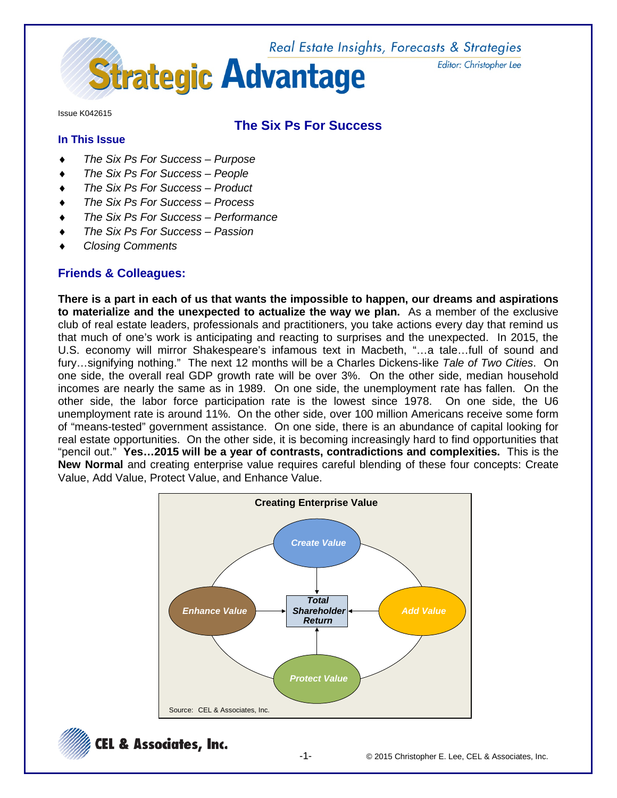

Issue K042615

## **The Six Ps For Success**

# **In This Issue**

- ♦ *The Six Ps For Success – Purpose*
- **The Six Ps For Success People**
- ♦ *The Six Ps For Success – Product*
- ♦ *The Six Ps For Success – Process*
- ♦ *The Six Ps For Success – Performance*
- *The Six Ps For Success Passion*
- ♦ *Closing Comments*

### **Friends & Colleagues:**

**There is a part in each of us that wants the impossible to happen, our dreams and aspirations to materialize and the unexpected to actualize the way we plan.** As a member of the exclusive club of real estate leaders, professionals and practitioners, you take actions every day that remind us that much of one's work is anticipating and reacting to surprises and the unexpected. In 2015, the U.S. economy will mirror Shakespeare's infamous text in Macbeth, "…a tale…full of sound and fury…signifying nothing." The next 12 months will be a Charles Dickens-like *Tale of Two Cities*. On one side, the overall real GDP growth rate will be over 3%. On the other side, median household incomes are nearly the same as in 1989. On one side, the unemployment rate has fallen. On the other side, the labor force participation rate is the lowest since 1978. On one side, the U6 unemployment rate is around 11%. On the other side, over 100 million Americans receive some form of "means-tested" government assistance. On one side, there is an abundance of capital looking for real estate opportunities. On the other side, it is becoming increasingly hard to find opportunities that "pencil out." **Yes…2015 will be a year of contrasts, contradictions and complexities.** This is the **New Normal** and creating enterprise value requires careful blending of these four concepts: Create Value, Add Value, Protect Value, and Enhance Value.



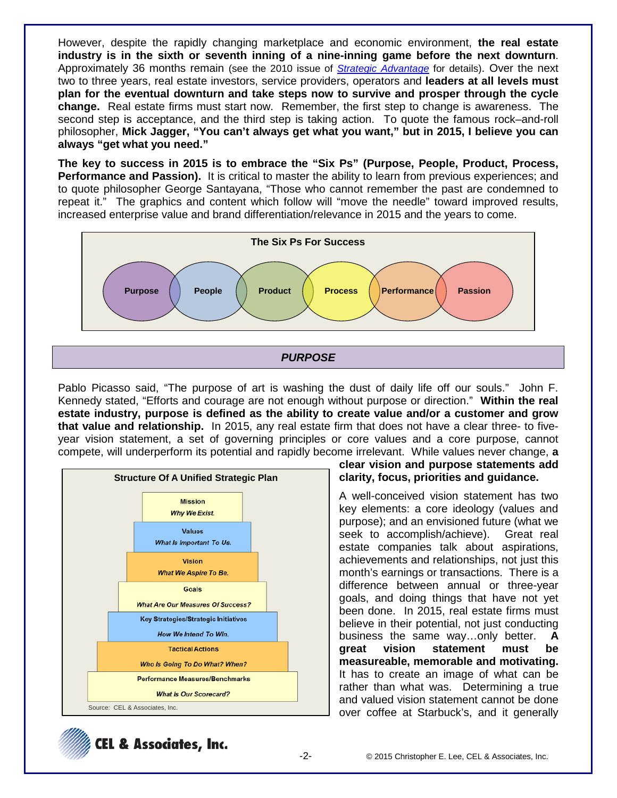However, despite the rapidly changing marketplace and economic environment, **the real estate industry is in the sixth or seventh inning of a nine-inning game before the next downturn**. Approximately 36 months remain (see the 2010 issue of *[Strategic Advantage](http://www.celassociates.com/onlinenewsletter/Cycles-2010-SA-K040110.pdf)* for details). Over the next two to three years, real estate investors, service providers, operators and **leaders at all levels must plan for the eventual downturn and take steps now to survive and prosper through the cycle change.** Real estate firms must start now. Remember, the first step to change is awareness. The second step is acceptance, and the third step is taking action. To quote the famous rock–and-roll philosopher, **Mick Jagger, "You can't always get what you want," but in 2015, I believe you can always "get what you need."**

**The key to success in 2015 is to embrace the "Six Ps" (Purpose, People, Product, Process, Performance and Passion).** It is critical to master the ability to learn from previous experiences; and to quote philosopher George Santayana, "Those who cannot remember the past are condemned to repeat it." The graphics and content which follow will "move the needle" toward improved results, increased enterprise value and brand differentiation/relevance in 2015 and the years to come.



*PURPOSE*

Pablo Picasso said, "The purpose of art is washing the dust of daily life off our souls." John F. Kennedy stated, "Efforts and courage are not enough without purpose or direction." **Within the real estate industry, purpose is defined as the ability to create value and/or a customer and grow that value and relationship.** In 2015, any real estate firm that does not have a clear three- to fiveyear vision statement, a set of governing principles or core values and a core purpose, cannot compete, will underperform its potential and rapidly become irrelevant. While values never change, **a** 



**clear vision and purpose statements add clarity, focus, priorities and guidance.**

A well-conceived vision statement has two key elements: a core ideology (values and purpose); and an envisioned future (what we seek to accomplish/achieve). Great real estate companies talk about aspirations, achievements and relationships, not just this month's earnings or transactions. There is a difference between annual or three-year goals, and doing things that have not yet been done. In 2015, real estate firms must believe in their potential, not just conducting business the same way…only better. **A great vision statement must be measureable, memorable and motivating.** It has to create an image of what can be rather than what was. Determining a true and valued vision statement cannot be done over coffee at Starbuck's, and it generally

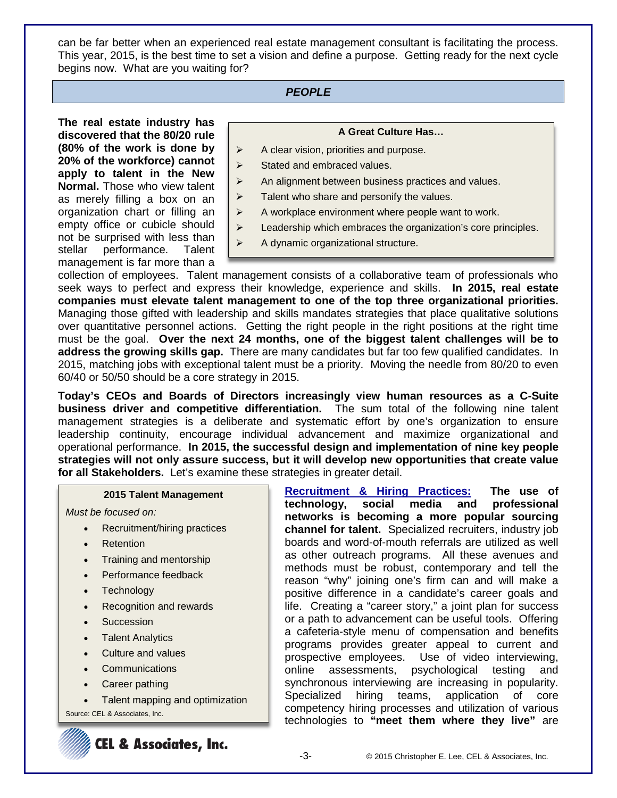can be far better when an experienced real estate management consultant is facilitating the process. This year, 2015, is the best time to set a vision and define a purpose. Getting ready for the next cycle begins now. What are you waiting for?

### *PEOPLE*

**The real estate industry has discovered that the 80/20 rule (80% of the work is done by 20% of the workforce) cannot apply to talent in the New Normal.** Those who view talent as merely filling a box on an organization chart or filling an empty office or cubicle should not be surprised with less than stellar performance. Talent management is far more than a

#### **A Great Culture Has…**

- $\triangleright$  A clear vision, priorities and purpose.
- $\triangleright$  Stated and embraced values.
- $\triangleright$  An alignment between business practices and values.
- $\triangleright$  Talent who share and personify the values.
- $\triangleright$  A workplace environment where people want to work.
- Eeadership which embraces the organization's core principles.
- $\triangleright$  A dynamic organizational structure.

collection of employees. Talent management consists of a collaborative team of professionals who seek ways to perfect and express their knowledge, experience and skills. **In 2015, real estate companies must elevate talent management to one of the top three organizational priorities.** Managing those gifted with leadership and skills mandates strategies that place qualitative solutions over quantitative personnel actions. Getting the right people in the right positions at the right time must be the goal. **Over the next 24 months, one of the biggest talent challenges will be to address the growing skills gap.** There are many candidates but far too few qualified candidates. In 2015, matching jobs with exceptional talent must be a priority. Moving the needle from 80/20 to even 60/40 or 50/50 should be a core strategy in 2015.

**Today's CEOs and Boards of Directors increasingly view human resources as a C-Suite business driver and competitive differentiation.** The sum total of the following nine talent management strategies is a deliberate and systematic effort by one's organization to ensure leadership continuity, encourage individual advancement and maximize organizational and operational performance. **In 2015, the successful design and implementation of nine key people strategies will not only assure success, but it will develop new opportunities that create value for all Stakeholders.** Let's examine these strategies in greater detail.

#### **2015 Talent Management**

*Must be focused on:*

- Recruitment/hiring practices
- **Retention**
- Training and mentorship
- Performance feedback
- **Technology**
- Recognition and rewards
- **Succession**
- **Talent Analytics**
- Culture and values
- **Communications**
- Career pathing
- Talent mapping and optimization

Source: CEL & Associates, Inc.



**Recruitment & Hiring Practices: The use of**  technology, social media and **networks is becoming a more popular sourcing channel for talent.** Specialized recruiters, industry job boards and word-of-mouth referrals are utilized as well as other outreach programs. All these avenues and methods must be robust, contemporary and tell the reason "why" joining one's firm can and will make a positive difference in a candidate's career goals and life. Creating a "career story," a joint plan for success or a path to advancement can be useful tools. Offering a cafeteria-style menu of compensation and benefits programs provides greater appeal to current and prospective employees. Use of video interviewing, online assessments, psychological testing and synchronous interviewing are increasing in popularity. Specialized hiring teams, application of core competency hiring processes and utilization of various technologies to **"meet them where they live"** are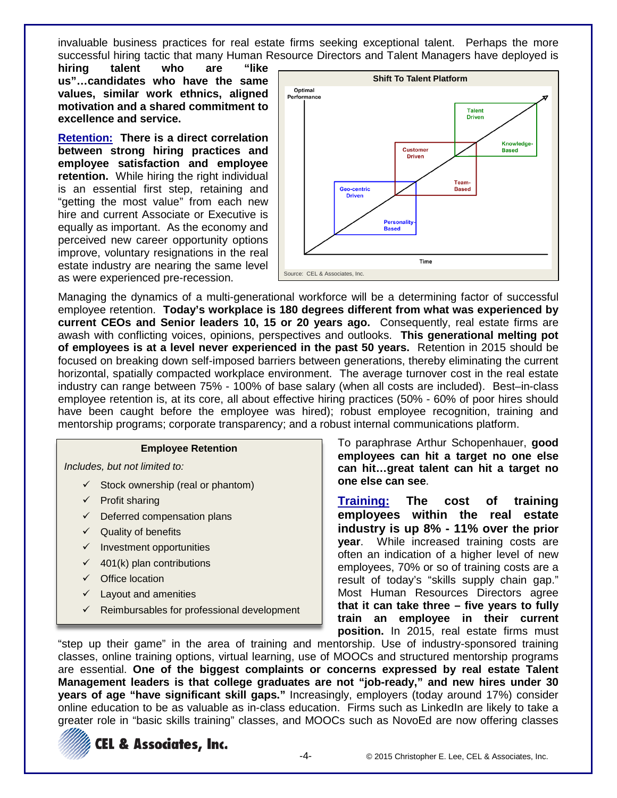invaluable business practices for real estate firms seeking exceptional talent. Perhaps the more successful hiring tactic that many Human Resource Directors and Talent Managers have deployed is

**hiring talent who are "like us"…candidates who have the same values, similar work ethnics, aligned motivation and a shared commitment to excellence and service.**

**Retention: There is a direct correlation between strong hiring practices and employee satisfaction and employee retention.** While hiring the right individual is an essential first step, retaining and "getting the most value" from each new hire and current Associate or Executive is equally as important. As the economy and perceived new career opportunity options improve, voluntary resignations in the real estate industry are nearing the same level as were experienced pre-recession.



Managing the dynamics of a multi-generational workforce will be a determining factor of successful employee retention. **Today's workplace is 180 degrees different from what was experienced by current CEOs and Senior leaders 10, 15 or 20 years ago.** Consequently, real estate firms are awash with conflicting voices, opinions, perspectives and outlooks. **This generational melting pot of employees is at a level never experienced in the past 50 years.** Retention in 2015 should be focused on breaking down self-imposed barriers between generations, thereby eliminating the current horizontal, spatially compacted workplace environment. The average turnover cost in the real estate industry can range between 75% - 100% of base salary (when all costs are included). Best–in-class employee retention is, at its core, all about effective hiring practices (50% - 60% of poor hires should have been caught before the employee was hired); robust employee recognition, training and mentorship programs; corporate transparency; and a robust internal communications platform.

#### **Employee Retention**

*Includes, but not limited to:*

- $\checkmark$  Stock ownership (real or phantom)
- $\checkmark$  Profit sharing
- $\checkmark$  Deferred compensation plans
- $\checkmark$  Quality of benefits
- $\checkmark$  Investment opportunities
- $\checkmark$  401(k) plan contributions
- $\checkmark$  Office location
- $\checkmark$  Layout and amenities
- $\checkmark$  Reimbursables for professional development

To paraphrase Arthur Schopenhauer, **good employees can hit a target no one else can hit…great talent can hit a target no one else can see**.

**Training: The cost of training employees within the real estate industry is up 8% - 11% over the prior year**. While increased training costs are often an indication of a higher level of new employees, 70% or so of training costs are a result of today's "skills supply chain gap." Most Human Resources Directors agree **that it can take three – five years to fully train an employee in their current position.** In 2015, real estate firms must

"step up their game" in the area of training and mentorship. Use of industry-sponsored training classes, online training options, virtual learning, use of MOOCs and structured mentorship programs are essential. **One of the biggest complaints or concerns expressed by real estate Talent Management leaders is that college graduates are not "job-ready," and new hires under 30 years of age "have significant skill gaps."** Increasingly, employers (today around 17%) consider online education to be as valuable as in-class education. Firms such as LinkedIn are likely to take a greater role in "basic skills training" classes, and MOOCs such as NovoEd are now offering classes

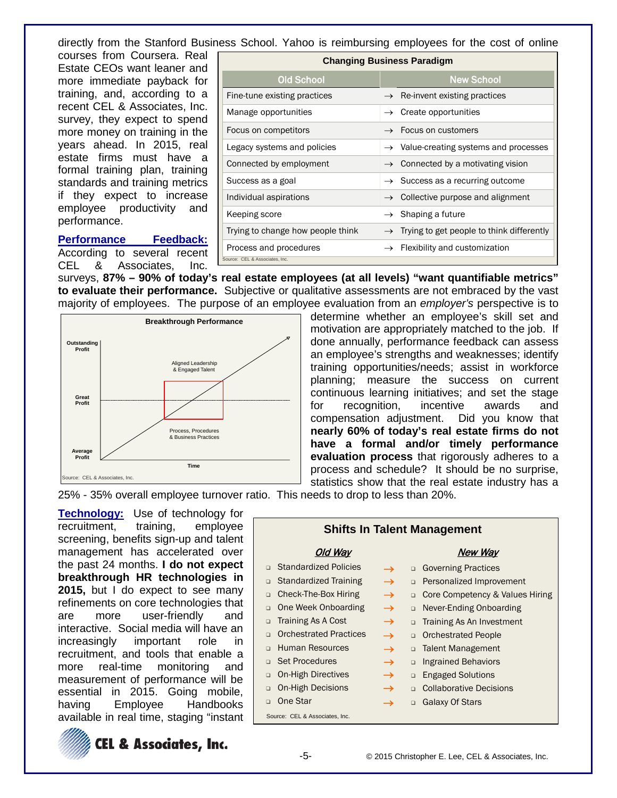directly from the Stanford Business School. Yahoo is reimbursing employees for the cost of online

courses from Coursera. Real Estate CEOs want leaner and more immediate payback for training, and, according to a recent CEL & Associates, Inc. survey, they expect to spend more money on training in the years ahead. In 2015, real estate firms must have a formal training plan, training standards and training metrics if they expect to increase employee productivity and performance.

Source: CEL & Associates, Inc. Old School New School New School Fine-tune existing practices  $\rightarrow$  Re-invent existing practices Manage opportunities  $\rightarrow$  Create opportunities Focus on competitors  $\rightarrow$  Focus on customers Legacy systems and policies  $\rightarrow$  Value-creating systems and processes Connected by employment  $\rightarrow$  Connected by a motivating vision Success as a goal  $\rightarrow$  Success as a recurring outcome Individual aspirations → Collective purpose and alignment Keeping score  $\rightarrow$  Shaping a future Trying to change how people think  $\rightarrow$  Trying to get people to think differently Process and procedures  $\rightarrow$  Flexibility and customization

**Changing Business Paradigm**

**Performance Feedback:** According to several recent<br>CEL & Associates. Inc. & Associates, Inc.

surveys, **87% – 90% of today's real estate employees (at all levels) "want quantifiable metrics" to evaluate their performance.** Subjective or qualitative assessments are not embraced by the vast majority of employees. The purpose of an employee evaluation from an *employer's* perspective is to



determine whether an employee's skill set and motivation are appropriately matched to the job. If done annually, performance feedback can assess an employee's strengths and weaknesses; identify training opportunities/needs; assist in workforce planning; measure the success on current continuous learning initiatives; and set the stage for recognition, incentive awards and compensation adjustment. Did you know that **nearly 60% of today's real estate firms do not have a formal and/or timely performance evaluation process** that rigorously adheres to a process and schedule? It should be no surprise, statistics show that the real estate industry has a

25% - 35% overall employee turnover ratio. This needs to drop to less than 20%.

**Technology:** Use of technology for recruitment, training, employee screening, benefits sign-up and talent management has accelerated over the past 24 months. **I do not expect breakthrough HR technologies in 2015,** but I do expect to see many refinements on core technologies that are more user-friendly and interactive. Social media will have an increasingly important role in recruitment, and tools that enable a more real-time monitoring and measurement of performance will be essential in 2015. Going mobile, having Employee Handbooks available in real time, staging "instant

**CEL & Associates, Inc.** 



Old Way

**Shifts In Talent Management**

New Way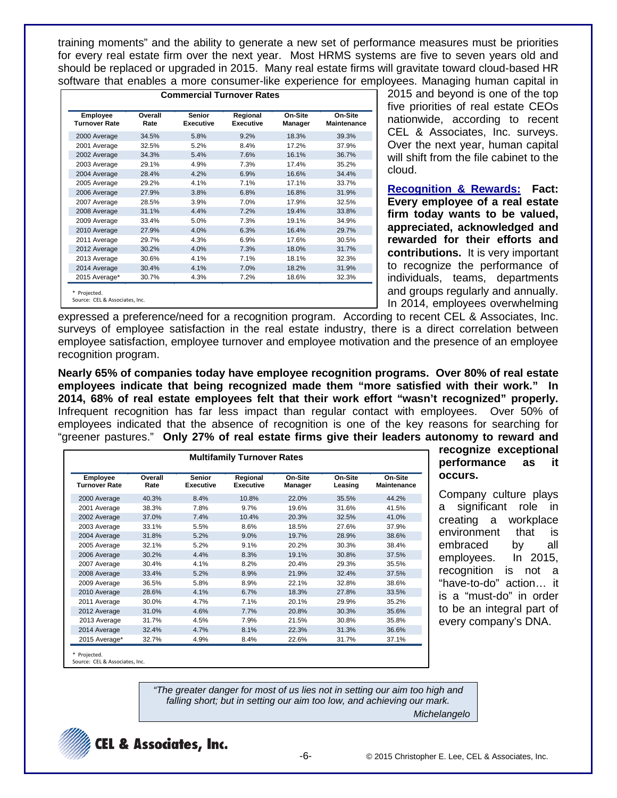training moments" and the ability to generate a new set of performance measures must be priorities for every real estate firm over the next year. Most HRMS systems are five to seven years old and should be replaced or upgraded in 2015. Many real estate firms will gravitate toward cloud-based HR software that enables a more consumer-like experience for employees. Managing human capital in

| Employee<br><b>Turnover Rate</b> | Overall<br>Rate | <b>Senior</b><br><b>Executive</b> | Regional<br><b>Executive</b> | On-Site<br>Manager | On-Site<br><b>Maintenance</b> |
|----------------------------------|-----------------|-----------------------------------|------------------------------|--------------------|-------------------------------|
| 2000 Average                     | 34.5%           | 5.8%                              | 9.2%                         | 18.3%              | 39.3%                         |
| 2001 Average                     | 32.5%           | 5.2%                              | 8.4%                         | 17.2%              | 37.9%                         |
| 2002 Average                     | 34.3%           | 5.4%                              | 7.6%                         | 16.1%              | 36.7%                         |
| 2003 Average                     | 29.1%           | 4.9%                              | 7.3%                         | 17.4%              | 35.2%                         |
| 2004 Average                     | 28.4%           | 4.2%                              | 6.9%                         | 16.6%              | 34.4%                         |
| 2005 Average                     | 29.2%           | 4.1%                              | 7.1%                         | 17.1%              | 33.7%                         |
| 2006 Average                     | 27.9%           | 3.8%                              | 6.8%                         | 16.8%              | 31.9%                         |
| 2007 Average                     | 28.5%           | 3.9%                              | 7.0%                         | 17.9%              | 32.5%                         |
| 2008 Average                     | 31.1%           | 4.4%                              | 7.2%                         | 19.4%              | 33.8%                         |
| 2009 Average                     | 33.4%           | 5.0%                              | 7.3%                         | 19.1%              | 34.9%                         |
| 2010 Average                     | 27.9%           | 4.0%                              | 6.3%                         | 16.4%              | 29.7%                         |
| 2011 Average                     | 29.7%           | 4.3%                              | 6.9%                         | 17.6%              | 30.5%                         |
| 2012 Average                     | 30.2%           | 4.0%                              | 7.3%                         | 18.0%              | 31.7%                         |
| 2013 Average                     | 30.6%           | 4.1%                              | 7.1%                         | 18.1%              | 32.3%                         |
| 2014 Average                     | 30.4%           | 4.1%                              | 7.0%                         | 18.2%              | 31.9%                         |
| 2015 Average*                    | 30.7%           | 4.3%                              | 7.2%                         | 18.6%              | 32.3%                         |

2015 and beyond is one of the top five priorities of real estate CEOs nationwide, according to recent CEL & Associates, Inc. surveys. Over the next year, human capital will shift from the file cabinet to the cloud.

**Recognition & Rewards: Fact: Every employee of a real estate firm today wants to be valued, appreciated, acknowledged and rewarded for their efforts and contributions.** It is very important to recognize the performance of individuals, teams, departments and groups regularly and annually. In 2014, employees overwhelming

> **recognize exceptional performance as it**

> Company culture plays a significant role in creating a workplace environment that is embraced by all employees. In 2015, recognition is not a "have-to-do" action… it is a "must-do" in order to be an integral part of every company's DNA.

**occurs.**

expressed a preference/need for a recognition program. According to recent CEL & Associates, Inc. surveys of employee satisfaction in the real estate industry, there is a direct correlation between employee satisfaction, employee turnover and employee motivation and the presence of an employee recognition program.

**Nearly 65% of companies today have employee recognition programs. Over 80% of real estate employees indicate that being recognized made them "more satisfied with their work." In 2014, 68% of real estate employees felt that their work effort "wasn't recognized" properly.** Infrequent recognition has far less impact than regular contact with employees. Over 50% of employees indicated that the absence of recognition is one of the key reasons for searching for "greener pastures." **Only 27% of real estate firms give their leaders autonomy to reward and** 

| <b>Multifamily Turnover Rates</b> |                 |                                   |                       |                    |                    |                        |
|-----------------------------------|-----------------|-----------------------------------|-----------------------|--------------------|--------------------|------------------------|
| Employee<br><b>Turnover Rate</b>  | Overall<br>Rate | <b>Senior</b><br><b>Executive</b> | Regional<br>Executive | On-Site<br>Manager | On-Site<br>Leasing | On-Site<br>Maintenance |
| 2000 Average                      | 40.3%           | 8.4%                              | 10.8%                 | 22.0%              | 35.5%              | 44.2%                  |
| 2001 Average                      | 38.3%           | 7.8%                              | 9.7%                  | 19.6%              | 31.6%              | 41.5%                  |
| 2002 Average                      | 37.0%           | 7.4%                              | 10.4%                 | 20.3%              | 32.5%              | 41.0%                  |
| 2003 Average                      | 33.1%           | 5.5%                              | 8.6%                  | 18.5%              | 27.6%              | 37.9%                  |
| 2004 Average                      | 31.8%           | 5.2%                              | 9.0%                  | 19.7%              | 28.9%              | 38.6%                  |
| 2005 Average                      | 32.1%           | 5.2%                              | 9.1%                  | 20.2%              | 30.3%              | 38.4%                  |
| 2006 Average                      | 30.2%           | 4.4%                              | 8.3%                  | 19.1%              | 30.8%              | 37.5%                  |
| 2007 Average                      | 30.4%           | 4.1%                              | 8.2%                  | 20.4%              | 29.3%              | 35.5%                  |
| 2008 Average                      | 33.4%           | 5.2%                              | 8.9%                  | 21.9%              | 32.4%              | 37.5%                  |
| 2009 Average                      | 36.5%           | 5.8%                              | 8.9%                  | 22.1%              | 32.8%              | 38.6%                  |
| 2010 Average                      | 28.6%           | 4.1%                              | 6.7%                  | 18.3%              | 27.8%              | 33.5%                  |
| 2011 Average                      | 30.0%           | 4.7%                              | 7.1%                  | 20.1%              | 29.9%              | 35.2%                  |
| 2012 Average                      | 31.0%           | 4.6%                              | 7.7%                  | 20.8%              | 30.3%              | 35.6%                  |
| 2013 Average                      | 31.7%           | 4.5%                              | 7.9%                  | 21.5%              | 30.8%              | 35.8%                  |
| 2014 Average                      | 32.4%           | 4.7%                              | 8.1%                  | 22.3%              | 31.3%              | 36.6%                  |
| 2015 Average*                     | 32.7%           | 4.9%                              | 8.4%                  | 22.6%              | 31.7%              | 37.1%                  |

Projected.

Source: CEL & Associates, Inc.

*"The greater danger for most of us lies not in setting our aim too high and falling short; but in setting our aim too low, and achieving our mark. Michelangelo*



-6- © 2015 Christopher E. Lee, CEL & Associates, Inc.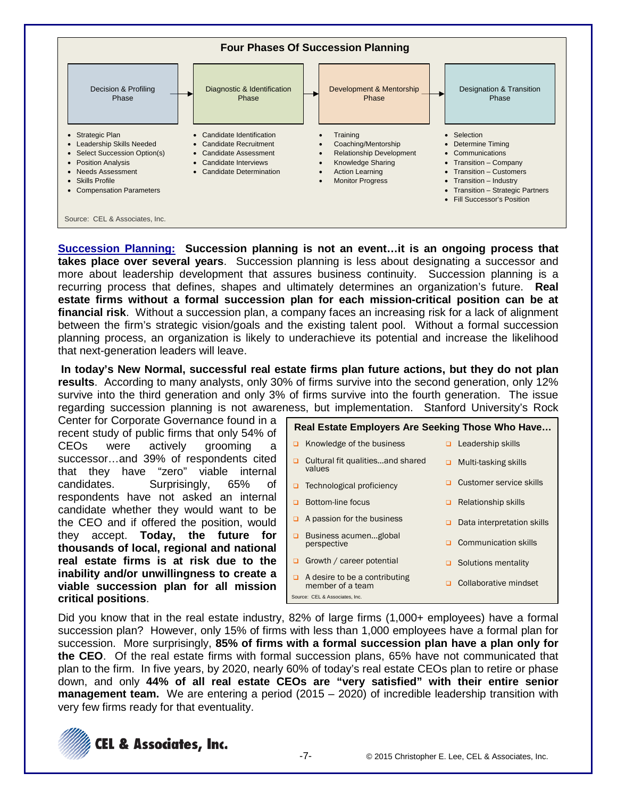

**Succession Planning: Succession planning is not an event…it is an ongoing process that takes place over several years**. Succession planning is less about designating a successor and more about leadership development that assures business continuity. Succession planning is a recurring process that defines, shapes and ultimately determines an organization's future. **Real estate firms without a formal succession plan for each mission-critical position can be at financial risk**. Without a succession plan, a company faces an increasing risk for a lack of alignment between the firm's strategic vision/goals and the existing talent pool. Without a formal succession planning process, an organization is likely to underachieve its potential and increase the likelihood that next-generation leaders will leave.

**In today's New Normal, successful real estate firms plan future actions, but they do not plan results**. According to many analysts, only 30% of firms survive into the second generation, only 12% survive into the third generation and only 3% of firms survive into the fourth generation. The issue regarding succession planning is not awareness, but implementation. Stanford University's Rock

Center for Corporate Governance found in a recent study of public firms that only 54% of CEOs were actively grooming successor…and 39% of respondents cited that they have "zero" viable internal candidates. Surprisingly, 65% of respondents have not asked an internal candidate whether they would want to be the CEO and if offered the position, would they accept. **Today, the future for thousands of local, regional and national real estate firms is at risk due to the inability and/or unwillingness to create a viable succession plan for all mission critical positions**.

|   | Real Estate Employers Are Seeking Those Who Have  |        |                             |
|---|---------------------------------------------------|--------|-----------------------------|
| ◻ | Knowledge of the business                         | $\Box$ | Leadership skills           |
|   | Cultural fit qualitiesand shared<br>values        | ◻      | Multi-tasking skills        |
| □ | Technological proficiency                         |        | Customer service skills     |
|   | Bottom-line focus                                 | ▫      | <b>Relationship skills</b>  |
|   | A passion for the business                        |        | Data interpretation skills  |
|   | Business acumenglobal<br>perspective              |        | <b>Communication skills</b> |
| o | Growth / career potential                         |        | Solutions mentality         |
| □ | A desire to be a contributing<br>member of a team |        | Collaborative mindset       |
|   | Source: CEL & Associates, Inc.                    |        |                             |

Did you know that in the real estate industry, 82% of large firms (1,000+ employees) have a formal succession plan? However, only 15% of firms with less than 1,000 employees have a formal plan for succession. More surprisingly, **85% of firms with a formal succession plan have a plan only for the CEO**. Of the real estate firms with formal succession plans, 65% have not communicated that plan to the firm. In five years, by 2020, nearly 60% of today's real estate CEOs plan to retire or phase down, and only **44% of all real estate CEOs are "very satisfied" with their entire senior management team.** We are entering a period (2015 – 2020) of incredible leadership transition with very few firms ready for that eventuality.

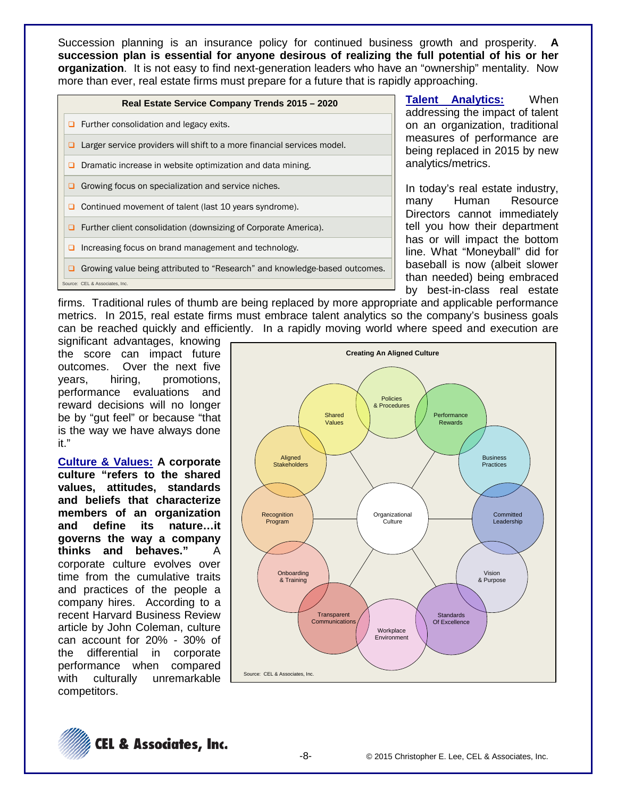Succession planning is an insurance policy for continued business growth and prosperity. **A succession plan is essential for anyone desirous of realizing the full potential of his or her organization**. It is not easy to find next-generation leaders who have an "ownership" mentality. Now more than ever, real estate firms must prepare for a future that is rapidly approaching.

| Real Estate Service Company Trends 2015 - 2020                                  |
|---------------------------------------------------------------------------------|
| $\Box$ Further consolidation and legacy exits.                                  |
| Larger service providers will shift to a more financial services model.<br>□    |
| Dramatic increase in website optimization and data mining.<br>□                 |
| Growing focus on specialization and service niches.<br>▫                        |
| □ Continued movement of talent (last 10 years syndrome).                        |
| <b>Q</b> Further client consolidation (downsizing of Corporate America).        |
| Increasing focus on brand management and technology.<br>□                       |
| Growing value being attributed to "Research" and knowledge-based outcomes.<br>□ |
| Source: CEL & Associates, Inc.                                                  |

**Talent Analytics:** When addressing the impact of talent on an organization, traditional measures of performance are being replaced in 2015 by new analytics/metrics.

In today's real estate industry, many Human Resource Directors cannot immediately tell you how their department has or will impact the bottom line. What "Moneyball" did for baseball is now (albeit slower than needed) being embraced by best-in-class real estate

firms. Traditional rules of thumb are being replaced by more appropriate and applicable performance metrics. In 2015, real estate firms must embrace talent analytics so the company's business goals can be reached quickly and efficiently. In a rapidly moving world where speed and execution are

significant advantages, knowing the score can impact future outcomes. Over the next five years, hiring, promotions, performance evaluations and reward decisions will no longer be by "gut feel" or because "that is the way we have always done it."

**Culture & Values: A corporate culture "refers to the shared values, attitudes, standards and beliefs that characterize members of an organization and define its nature…it governs the way a company thinks and behaves."** A corporate culture evolves over time from the cumulative traits and practices of the people a company hires. According to a recent Harvard Business Review article by John Coleman, culture can account for 20% - 30% of the differential in corporate performance when compared with culturally unremarkable competitors.



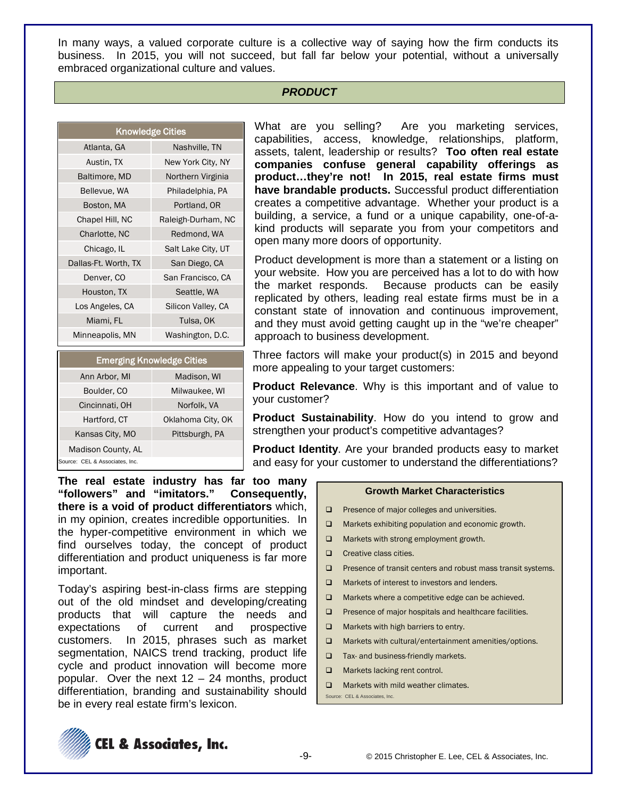In many ways, a valued corporate culture is a collective way of saying how the firm conducts its business. In 2015, you will not succeed, but fall far below your potential, without a universally embraced organizational culture and values.

### *PRODUCT*

| <b>Knowledge Cities</b> |                    |
|-------------------------|--------------------|
| Atlanta, GA             | Nashville, TN      |
| Austin, TX              | New York City, NY  |
| Baltimore, MD           | Northern Virginia  |
| Bellevue, WA            | Philadelphia, PA   |
| Boston, MA              | Portland, OR       |
| Chapel Hill, NC         | Raleigh-Durham, NC |
| Charlotte, NC           | Redmond, WA        |
| Chicago, IL             | Salt Lake City, UT |
| Dallas-Ft. Worth, TX    | San Diego, CA      |
| Denver, CO              | San Francisco, CA  |
| Houston, TX             | Seattle, WA        |
| Los Angeles, CA         | Silicon Valley, CA |
| Miami, FL               | Tulsa, OK          |
| Minneapolis, MN         | Washington, D.C.   |

|                                | <b>Emerging Knowledge Cities</b> |
|--------------------------------|----------------------------------|
| Ann Arbor, MI                  | Madison, WI                      |
| Boulder, CO                    | Milwaukee, WI                    |
| Cincinnati, OH                 | Norfolk, VA                      |
| Hartford, CT                   | Oklahoma City, OK                |
| Kansas City, MO                | Pittsburgh, PA                   |
| Madison County, AL             |                                  |
| Source: CEL & Associates, Inc. |                                  |

What are you selling? Are you marketing services, capabilities, access, knowledge, relationships, platform, assets, talent, leadership or results? **Too often real estate companies confuse general capability offerings as product…they're not! In 2015, real estate firms must have brandable products.** Successful product differentiation creates a competitive advantage. Whether your product is a building, a service, a fund or a unique capability, one-of-akind products will separate you from your competitors and open many more doors of opportunity.

Product development is more than a statement or a listing on your website. How you are perceived has a lot to do with how the market responds. Because products can be easily replicated by others, leading real estate firms must be in a constant state of innovation and continuous improvement, and they must avoid getting caught up in the "we're cheaper" approach to business development.

Three factors will make your product(s) in 2015 and beyond more appealing to your target customers:

**Product Relevance**. Why is this important and of value to your customer?

**Product Sustainability**. How do you intend to grow and strengthen your product's competitive advantages?

**Product Identity**. Are your branded products easy to market and easy for your customer to understand the differentiations?

**The real estate industry has far too many "followers" and "imitators." Consequently, there is a void of product differentiators** which, in my opinion, creates incredible opportunities. In the hyper-competitive environment in which we find ourselves today, the concept of product differentiation and product uniqueness is far more important.

Today's aspiring best-in-class firms are stepping out of the old mindset and developing/creating products that will capture the needs and expectations of current and prospective customers. In 2015, phrases such as market segmentation, NAICS trend tracking, product life cycle and product innovation will become more popular. Over the next 12 – 24 months, product differentiation, branding and sustainability should be in every real estate firm's lexicon.

#### **Growth Market Characteristics**

- **Q** Presence of major colleges and universities.
- □ Markets exhibiting population and economic growth.
- $\Box$  Markets with strong employment growth.
- **Q** Creative class cities.
- $\Box$  Presence of transit centers and robust mass transit systems.
- **Q** Markets of interest to investors and lenders.
- □ Markets where a competitive edge can be achieved.
- $\Box$  Presence of major hospitals and healthcare facilities.
- $\Box$  Markets with high barriers to entry.
- □ Markets with cultural/entertainment amenities/options.
- $\Box$  Tax- and business-friendly markets.
- **Q** Markets lacking rent control.
- **D** Markets with mild weather climates.
- Source: CEL & Associates, Inc.

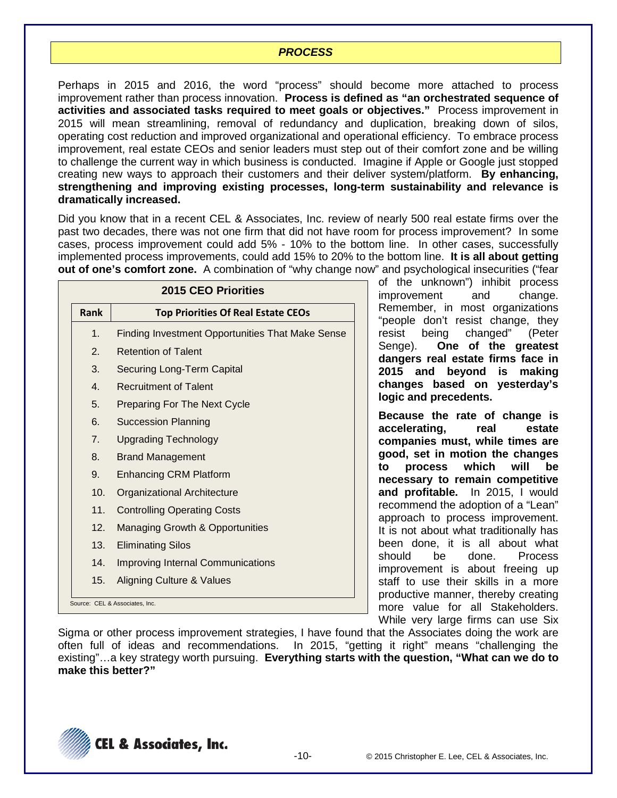### *PROCESS*

Perhaps in 2015 and 2016, the word "process" should become more attached to process improvement rather than process innovation. **Process is defined as "an orchestrated sequence of activities and associated tasks required to meet goals or objectives."** Process improvement in 2015 will mean streamlining, removal of redundancy and duplication, breaking down of silos, operating cost reduction and improved organizational and operational efficiency. To embrace process improvement, real estate CEOs and senior leaders must step out of their comfort zone and be willing to challenge the current way in which business is conducted. Imagine if Apple or Google just stopped creating new ways to approach their customers and their deliver system/platform. **By enhancing, strengthening and improving existing processes, long-term sustainability and relevance is dramatically increased.** 

Did you know that in a recent CEL & Associates, Inc. review of nearly 500 real estate firms over the past two decades, there was not one firm that did not have room for process improvement? In some cases, process improvement could add 5% - 10% to the bottom line. In other cases, successfully implemented process improvements, could add 15% to 20% to the bottom line. **It is all about getting out of one's comfort zone.** A combination of "why change now" and psychological insecurities ("fear

|                  | <b>2015 CEO Priorities</b>                              |
|------------------|---------------------------------------------------------|
| Rank             | <b>Top Priorities Of Real Estate CEOs</b>               |
| 1 <sub>1</sub>   | <b>Finding Investment Opportunities That Make Sense</b> |
| $\mathbf{2}$     | <b>Retention of Talent</b>                              |
| 3.               | Securing Long-Term Capital                              |
| $\overline{4}$ . | <b>Recruitment of Talent</b>                            |
| 5.               | <b>Preparing For The Next Cycle</b>                     |
| 6.               | <b>Succession Planning</b>                              |
| 7 <sub>1</sub>   | <b>Upgrading Technology</b>                             |
| 8.               | <b>Brand Management</b>                                 |
| 9.               | <b>Enhancing CRM Platform</b>                           |
| 10.              | Organizational Architecture                             |
| 11.              | <b>Controlling Operating Costs</b>                      |
| 12.              | <b>Managing Growth &amp; Opportunities</b>              |
| 13.              | <b>Eliminating Silos</b>                                |
| 14.              | <b>Improving Internal Communications</b>                |
| 15.              | Aligning Culture & Values                               |
|                  | Source: CEL & Associates, Inc.                          |

of the unknown") inhibit process improvement and change. Remember, in most organizations "people don't resist change, they resist being changed" (Peter Senge). **One of the greatest dangers real estate firms face in 2015 and beyond is making changes based on yesterday's logic and precedents.**

**Because the rate of change is accelerating, real estate companies must, while times are good, set in motion the changes to process which will be necessary to remain competitive and profitable.** In 2015, I would recommend the adoption of a "Lean" approach to process improvement. It is not about what traditionally has been done, it is all about what should be done. Process improvement is about freeing up staff to use their skills in a more productive manner, thereby creating more value for all Stakeholders. While very large firms can use Six

Sigma or other process improvement strategies, I have found that the Associates doing the work are often full of ideas and recommendations. In 2015, "getting it right" means "challenging the existing"…a key strategy worth pursuing. **Everything starts with the question, "What can we do to make this better?"**

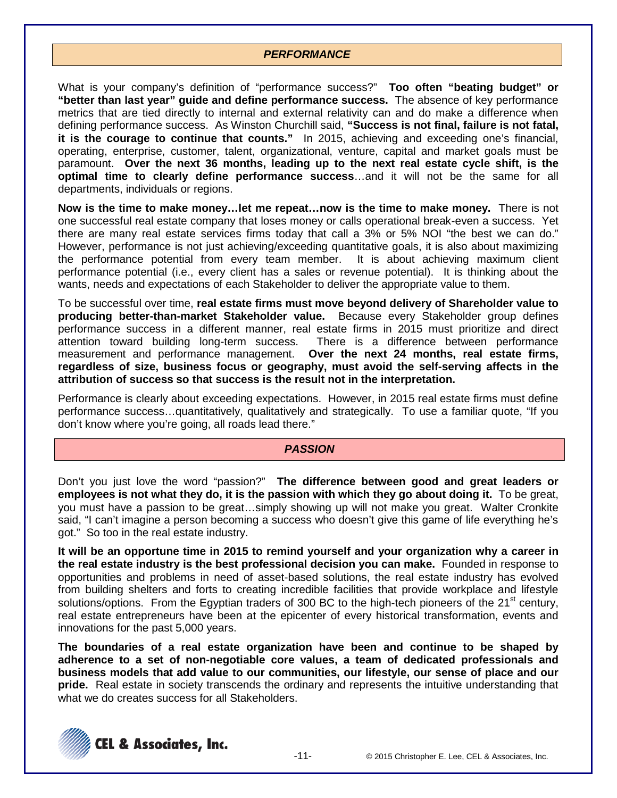### *PERFORMANCE*

What is your company's definition of "performance success?" **Too often "beating budget" or "better than last year" guide and define performance success.** The absence of key performance metrics that are tied directly to internal and external relativity can and do make a difference when defining performance success. As Winston Churchill said, **"Success is not final, failure is not fatal, it is the courage to continue that counts."** In 2015, achieving and exceeding one's financial, operating, enterprise, customer, talent, organizational, venture, capital and market goals must be paramount. **Over the next 36 months, leading up to the next real estate cycle shift, is the optimal time to clearly define performance success**…and it will not be the same for all departments, individuals or regions.

**Now is the time to make money…let me repeat…now is the time to make money.** There is not one successful real estate company that loses money or calls operational break-even a success. Yet there are many real estate services firms today that call a 3% or 5% NOI "the best we can do." However, performance is not just achieving/exceeding quantitative goals, it is also about maximizing the performance potential from every team member. It is about achieving maximum client performance potential (i.e., every client has a sales or revenue potential). It is thinking about the wants, needs and expectations of each Stakeholder to deliver the appropriate value to them.

To be successful over time, **real estate firms must move beyond delivery of Shareholder value to producing better-than-market Stakeholder value.** Because every Stakeholder group defines performance success in a different manner, real estate firms in 2015 must prioritize and direct attention toward building long-term success. There is a difference between performance measurement and performance management. **Over the next 24 months, real estate firms, regardless of size, business focus or geography, must avoid the self-serving affects in the attribution of success so that success is the result not in the interpretation.**

Performance is clearly about exceeding expectations. However, in 2015 real estate firms must define performance success…quantitatively, qualitatively and strategically. To use a familiar quote, "If you don't know where you're going, all roads lead there."

#### *PASSION*

Don't you just love the word "passion?" **The difference between good and great leaders or employees is not what they do, it is the passion with which they go about doing it.** To be great, you must have a passion to be great…simply showing up will not make you great. Walter Cronkite said, "I can't imagine a person becoming a success who doesn't give this game of life everything he's got." So too in the real estate industry.

**It will be an opportune time in 2015 to remind yourself and your organization why a career in the real estate industry is the best professional decision you can make.** Founded in response to opportunities and problems in need of asset-based solutions, the real estate industry has evolved from building shelters and forts to creating incredible facilities that provide workplace and lifestyle solutions/options. From the Egyptian traders of 300 BC to the high-tech pioneers of the 21<sup>st</sup> century, real estate entrepreneurs have been at the epicenter of every historical transformation, events and innovations for the past 5,000 years.

**The boundaries of a real estate organization have been and continue to be shaped by adherence to a set of non-negotiable core values, a team of dedicated professionals and business models that add value to our communities, our lifestyle, our sense of place and our pride.** Real estate in society transcends the ordinary and represents the intuitive understanding that what we do creates success for all Stakeholders.

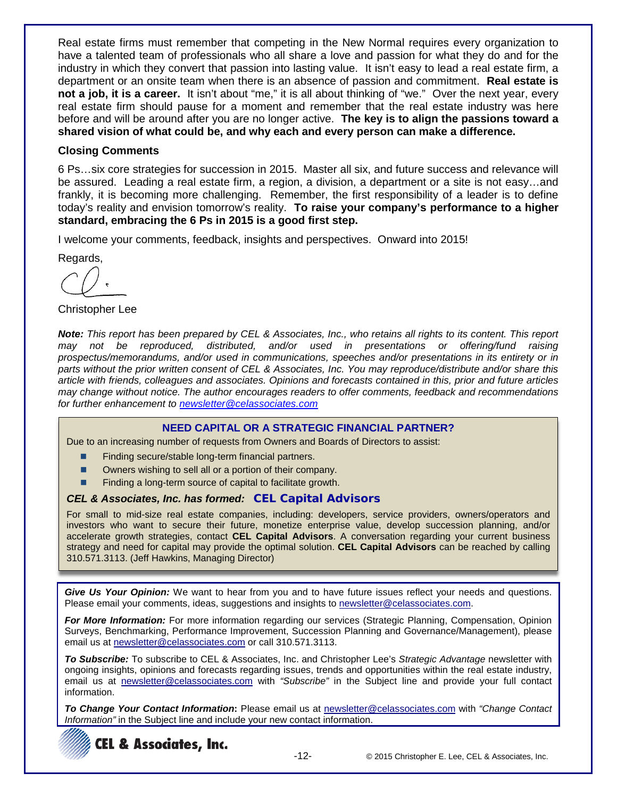Real estate firms must remember that competing in the New Normal requires every organization to have a talented team of professionals who all share a love and passion for what they do and for the industry in which they convert that passion into lasting value. It isn't easy to lead a real estate firm, a department or an onsite team when there is an absence of passion and commitment. **Real estate is not a job, it is a career.** It isn't about "me," it is all about thinking of "we." Over the next year, every real estate firm should pause for a moment and remember that the real estate industry was here before and will be around after you are no longer active. **The key is to align the passions toward a shared vision of what could be, and why each and every person can make a difference.**

### **Closing Comments**

6 Ps…six core strategies for succession in 2015. Master all six, and future success and relevance will be assured. Leading a real estate firm, a region, a division, a department or a site is not easy…and frankly, it is becoming more challenging. Remember, the first responsibility of a leader is to define today's reality and envision tomorrow's reality. **To raise your company's performance to a higher standard, embracing the 6 Ps in 2015 is a good first step.**

I welcome your comments, feedback, insights and perspectives. Onward into 2015!

Regards,

Christopher Lee

*Note: This report has been prepared by CEL & Associates, Inc., who retains all rights to its content. This report may not be reproduced, distributed, and/or used in presentations or offering/fund raising prospectus/memorandums, and/or used in communications, speeches and/or presentations in its entirety or in parts without the prior written consent of CEL & Associates, Inc. You may reproduce/distribute and/or share this article with friends, colleagues and associates. Opinions and forecasts contained in this, prior and future articles may change without notice. The author encourages readers to offer comments, feedback and recommendations for further enhancement to [newsletter@celassociates.com](mailto:newsletter@celassociates.com)*

#### **NEED CAPITAL OR A STRATEGIC FINANCIAL PARTNER?**

Due to an increasing number of requests from Owners and Boards of Directors to assist:

- Finding secure/stable long-term financial partners.
- Owners wishing to sell all or a portion of their company.
- Finding a long-term source of capital to facilitate growth.

#### *CEL & Associates, Inc. has formed:* **CEL Capital Advisors**

For small to mid-size real estate companies, including: developers, service providers, owners/operators and investors who want to secure their future, monetize enterprise value, develop succession planning, and/or accelerate growth strategies, contact **CEL Capital Advisors**. A conversation regarding your current business strategy and need for capital may provide the optimal solution. **CEL Capital Advisors** can be reached by calling 310.571.3113. (Jeff Hawkins, Managing Director)

*Give Us Your Opinion:* We want to hear from you and to have future issues reflect your needs and questions. Please email your comments, ideas, suggestions and insights to newsletter@celassociates.com.

*For More Information:* For more information regarding our services (Strategic Planning, Compensation, Opinion Surveys, Benchmarking, Performance Improvement, Succession Planning and Governance/Management), please email us at newsletter@celassociates.com or call 310.571.3113.

*To Subscribe:* To subscribe to CEL & Associates, Inc. and Christopher Lee's *Strategic Advantage* newsletter with ongoing insights, opinions and forecasts regarding issues, trends and opportunities within the real estate industry, email us at newsletter@celassociates.com with *"Subscribe"* in the Subject line and provide your full contact information.

*To Change Your Contact Information***:** Please email us at newsletter@celassociates.com with *"Change Contact Information"* in the Subject line and include your new contact information.